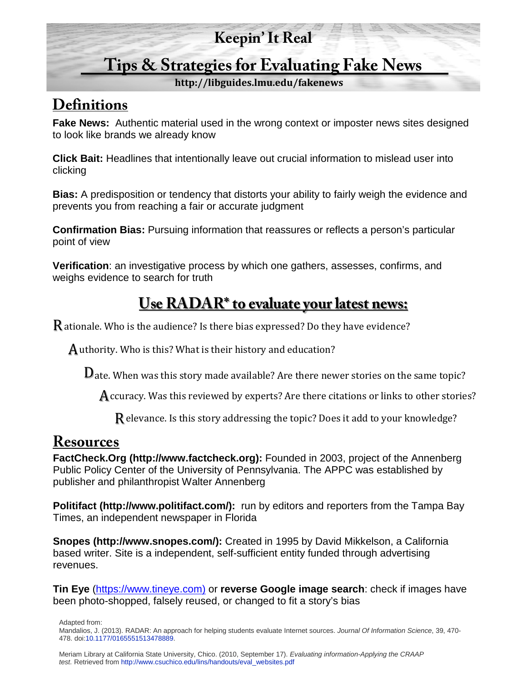#### **Keepin' It Real**

## **Tips & Strategies for Evaluating Fake News**

**http://libguides.lmu.edu/fakenews**

#### **Definitions**

**Fake News:** Authentic material used in the wrong context or imposter news sites designed to look like brands we already know

**Click Bait:** Headlines that intentionally leave out crucial information to mislead user into clicking

**Bias:** A predisposition or tendency that distorts your ability to fairly weigh the evidence and prevents you from reaching a fair or accurate judgment

**Confirmation Bias:** Pursuing information that reassures or reflects a person's particular point of view

**Verification**: an investigative process by which one gathers, assesses, confirms, and weighs evidence to search for truth

## **Use RADAR\* to evaluate your latest news:**

R ationale. Who is the audience? Is there bias expressed? Do they have evidence?

 ${\mathbf A}$  uthority. Who is this? What is their history and education?

D ate. When was this story made available? Are there newer stories on the same topic?

 ${\mathbf A}$  ccuracy. Was this reviewed by experts? Are there citations or links to other stories?

Relevance. Is this story addressing the topic? Does it add to your knowledge?

#### **Resources**

**FactCheck.Org (http://www.factcheck.org):** Founded in 2003, project of the Annenberg Public Policy Center of the University of Pennsylvania. The APPC was established by publisher and philanthropist Walter Annenberg

**Politifact (http://www.politifact.com/):** run by editors and reporters from the Tampa Bay Times, an independent newspaper in Florida

**Snopes (http://www.snopes.com/):** Created in 1995 by David Mikkelson, a California based writer. Site is a independent, self-sufficient entity funded through advertising revenues.

**Tin Eye** [\(https://www.tineye.com\)](https://www.tineye.com)/) or **reverse Google image search**: check if images have been photo-shopped, falsely reused, or changed to fit a story's bias

Adapted from:

Mandalios, J. (2013). RADAR: An approach for helping students evaluate Internet sources. *Journal Of Information Science*, 39, 470- 478. do[i:10.1177/0165551513478889.](http://journals.sagepub.com/doi/abs/10.1177/0165551513478889)